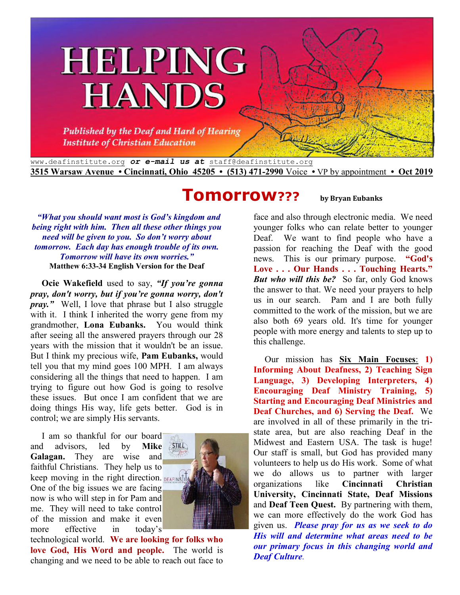# **HELPING HANDS**

**Published by the Deaf and Hard of Hearing Institute of Christian Education** 

www.deafinstitute.org *or e-mail us at* staff@deafinstitute.org **3515 Warsaw Avenue • Cincinnati, Ohio 45205 • (513) 471-2990** Voice **•** VP by appointment **• Oct 2019**

## **Tomorrow??? by Bryan Eubanks**

 *"What you should want most is God's kingdom and being right with him. Then all these other things you need will be given to you. So don't worry about tomorrow. Each day has enough trouble of its own. Tomorrow will have its own worries."* **Matthew 6:33-34 English Version for the Deaf**

**Ocie Wakefield** used to say, *"If you're gonna pray, don't worry, but if you're gonna worry, don't pray.*" Well, I love that phrase but I also struggle with it. I think I inherited the worry gene from my grandmother, **Lona Eubanks.** You would think after seeing all the answered prayers through our 28 years with the mission that it wouldn't be an issue. But I think my precious wife, **Pam Eubanks,** would tell you that my mind goes 100 MPH. I am always considering all the things that need to happen. I am trying to figure out how God is going to resolve these issues. But once I am confident that we are doing things His way, life gets better. God is in control; we are simply His servants.

I am so thankful for our board<br>d advisors, led by Mike and advisors, led by **Galagan.** They are wise and faithful Christians. They help us to keep moving in the right direction. DEAFINSIT One of the big issues we are facing now is who will step in for Pam and me. They will need to take control of the mission and make it even more effective in today's



technological world. **We are looking for folks who love God, His Word and people.** The world is changing and we need to be able to reach out face to

face and also through electronic media. We need younger folks who can relate better to younger Deaf. We want to find people who have a passion for reaching the Deaf with the good news. This is our primary purpose. **"God's Love . . . Our Hands . . . Touching Hearts."**  *But who will this be?* So far, only God knows the answer to that. We need your prayers to help us in our search. Pam and I are both fully committed to the work of the mission, but we are also both 69 years old. It's time for younger people with more energy and talents to step up to this challenge.

 Our mission has **Six Main Focuses**: **1) Informing About Deafness, 2) Teaching Sign Language, 3) Developing Interpreters, 4) Encouraging Deaf Ministry Training, 5) Starting and Encouraging Deaf Ministries and Deaf Churches, and 6) Serving the Deaf.** We are involved in all of these primarily in the tristate area, but are also reaching Deaf in the Midwest and Eastern USA. The task is huge! Our staff is small, but God has provided many volunteers to help us do His work. Some of what we do allows us to partner with larger organizations like **Cincinnati Christian University, Cincinnati State, Deaf Missions**  and **Deaf Teen Quest.** By partnering with them, we can more effectively do the work God has given us. *Please pray for us as we seek to do His will and determine what areas need to be our primary focus in this changing world and Deaf Culture.*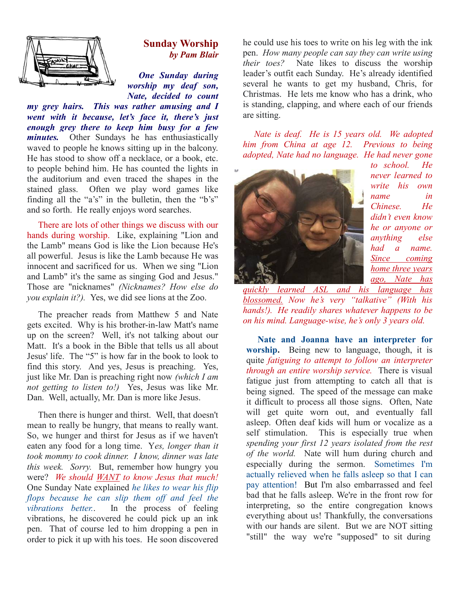

#### **Sunday Worship Worship***by Pam Blair by*

*One Sunday during worship my deaf son, Nate, decided to count* 

*my grey hairs. This was rather amusing and I went with it because, let's face it, there's just enduring*<br>*Ware to keep there to keep him busy for a few and letting and letting and letting and letting and letting my there to keep him busy for a few*  $p$  *busy for a few*  $p$  *during and letting and letting and lettin minutes.* Other Sundays he has enthusiastically waved to people he knows sitting up in the balcony. He has stood to show off a necklace, or a book, etc. to people behind him. He has counted the lights in the auditorium and even traced the shapes in the stained glass. Often we play word games like finding all the "a's" in the bulletin, then the "b's" and so forth. He really enjoys word searches. minutes. Other Sundays he has enthusiastically waved to people he knows sitting up in the balcony. He has stood to show off a necklace, or a book, etc. to people behind him. He has counted the lights in the auditorium and

There are lots of other things we discuss with our hands during worship. Like, explaining "Lion and the Lamb" means God is like the Lion because all powerful. Jesus is like the Lamb because H because He was innocent and sacrificed for us. When we sing "Lion and Lamb" it's the same as singing God and Jesus." Those are "nicknames" *(Nicknames? How else do*  innocent and sacrificed for us. When we sing "L<br>and Lamb" it's the same as singing God and Jesu<br>Those are "nicknames" *(Nicknames? How else*<br>you explain it?). Yes, we did see lions at the Zoo.

The preacher reads from Matthew 5 and Nate gets excited. Why is his brother-in-law Matt's name up on the screen? Well, it's not talking about our Matt. It's a book in the Bible that tells us all about Jesus' life. The "5" is how far in the book to look to find this story. And yes, Jesus is preaching. just like Mr. Dan is preaching right now (which I am *not getting to listen to!)* Yes, Jesus was like Mr. not getting to listen to!) Yes, Jesus was like<br>Dan. Well, actually, Mr. Dan is more like Jesus. preacher reads from Matthew 5 and Nate ited. Why is his brother-in-law Matt's name ne screen? Well, it's not talking about our t's a book in the Bible that tells us all about fe. The "5" is how far in the book to look to s

 Then there is hunger and thirst. Well, that doesn't mean to really be hungry, that means to really want. Then there is hunger and thirst. Well, that doesn't mean to really be hungry, that means to really want.<br>So, we hunger and thirst for Jesus as if we haven't eaten any food for a long time. Yes, longer than it *took mommy to cook dinner. I know, dinner was late*  this week. Sorry. But, remember how hungry you were? *We should WANT to know Jesus that much!*  One Sunday Nate explained *he likes to wear his flip flops because he can slip them off and feel the vibrations better.*. In the process of feeling vibrations, he discovered he could pick up an ink pen. That of course led to him dropping a pen in order to pick it up with his toes. He soon discovered *much!*<br>*us flip<br>el the* 

pen. *How many people can say they can write using people their toes?* Nate likes to discuss the worship their toes? Nate likes to discuss the worship leader's outfit each Sunday. He's already identified several he wants to get my husband, Chris, for Christmas. He lets me know who has a drink, who is standing, clapping, and where each of our friends are sitting. he could use his toes to write on his leg with the ink

*Nate is deaf. He is 15 years old. We adopted him from China at age 12. Previous to being adopted, Nate had no language. He had never gone* 



*to school. He never learned to write his own name in Chinese. He didn't even know he or anyone or anything else had a name. Since coming home three years ago, Nate has* 

*quickly learned ASL and his language has blossomed. Now he's very "talkative" (With his hands!). He readily shares whatever happens to be on his mind. Language-wise, he's only 3 years old. he's very "talkative" (With*<br>*ly shares whatever happens to*<br>*uage-wise, he's only 3 years ol* 

**Sunday Worship The could use his toes of twist in the case of the like the like the like the like the like the could use the could use the could use the could use the could use the could use the could use the means of th Nate and Joanna have and Joanna have an interpreter for**  worship. Being new to language, though, it is quite *fatiguing to attempt to follow an interpreter attempt to interpreter through an entire worship service.* There is visual fatigue just from attempting to catch all that is being signed. The speed of the message can make it difficult to process all those signs. Often, Nate will get quite worn out, and eventually fall asleep. Often deaf kids will hum or vocalize as a will get quite worn out, and eventually fall<br>asleep. Often deaf kids will hum or vocalize as a<br>self stimulation. This is especially true when spending your first 12 years isolated from the rest of the world. Nate will hum during church and especially during the sermon. Sometimes I'm actually relieved when he falls asleep so that I can pay attention! But I'm also embarrassed and feel bad that he falls asleep. We're in the front row for interpreting, so the entire congregation knows everything about us! Thankfully, the conversations with our hands are silent. But we are NOT sitting "still" the way we're "supposed" to sit during when he falls asleep so that I can<br>sut I'm also embarrassed and feel<br>asleep. We're in the front row for<br>the entire congregation knows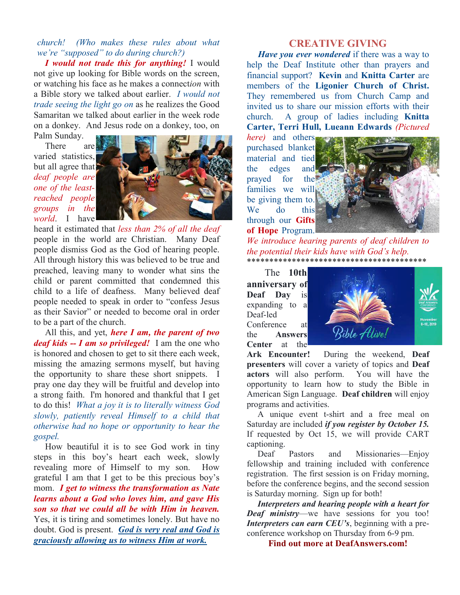*church! (Who makes these rules about what we're "supposed" to do during church?)* 

*I would not trade this for anything!* I would not give up looking for Bible words on the screen, or watching his face as he makes a connect*ion* with a Bible story we talked about earlier. *I would not trade seeing the light go on* as he realizes the Good Samaritan we talked about earlier in the week rode on a donkey. And Jesus rode on a donkey, too, on Palm Sunday.

 There are varied statistics, but all agree that *deaf people are one of the leastreached people groups in the world*. I have



heard it estimated that *less than 2% of all the deaf* people in the world are Christian. Many Deaf people dismiss God as the God of hearing people. All through history this was believed to be true and preached, leaving many to wonder what sins the child or parent committed that condemned this child to a life of deafness. Many believed deaf people needed to speak in order to "confess Jesus as their Savior" or needed to become oral in order to be a part of the church.

 All this, and yet, *here I am, the parent of two deaf kids -- I am so privileged!* I am the one who is honored and chosen to get to sit there each week, missing the amazing sermons myself, but having the opportunity to share these short snippets. I pray one day they will be fruitful and develop into a strong faith. I'm honored and thankful that I get to do this! *What a joy it is to literally witness God slowly, patiently reveal Himself to a child that otherwise had no hope or opportunity to hear the gospel.* 

How beautiful it is to see God work in tiny steps in this boy's heart each week, slowly revealing more of Himself to my son. How grateful I am that I get to be this precious boy's mom. *I get to witness the transformation as Nate learns about a God who loves him, and gave His son so that we could all be with Him in heaven.*  Yes, it is tiring and sometimes lonely. But have no doubt. God is present. *God is very real and God is graciously allowing us to witness Him at work.*

#### **CREATIVE GIVING**

 *Have you ever wondered* if there was a way to help the Deaf Institute other than prayers and financial support? **Kevin** and **Knitta Carter** are members of the **Ligonier Church of Christ.**  They remembered us from Church Camp and invited us to share our mission efforts with their church. A group of ladies including **Knitta Carter, Terri Hull, Lueann Edwards** *(Pictured* 

*here)* and others purchased blanket material and tied the edges and prayed for the families we will be giving them to. We do this through our **Gifts of Hope** Program.



*We introduce hearing parents of deaf children to the potential their kids have with God's help.*  \*\*\*\*\*\*\*\*\*\*\*\*\*\*\*\*\*\*\*\*\*\*\*\*\*\*\*\*\*\*\*\*\*\*\*\*\*\*\*\*

The **10th anniversary of Deaf Day** is expanding to a Deaf-led Conference at the **Answers Center** at the



**Ark Encounter!** During the weekend, **Deaf presenters** will cover a variety of topics and **Deaf actors** will also perform. You will have the opportunity to learn how to study the Bible in American Sign Language. **Deaf children** will enjoy programs and activities.

 A unique event t-shirt and a free meal on Saturday are included *if you register by October 15.* If requested by Oct 15, we will provide CART captioning.

Deaf Pastors and Missionaries—Enjoy fellowship and training included with conference registration. The first session is on Friday morning, before the conference begins, and the second session is Saturday morning. Sign up for both!

*Interpreters and hearing people with a heart for Deaf ministry*—we have sessions for you too! *Interpreters can earn CEU's*, beginning with a preconference workshop on Thursday from 6-9 pm.

**Find out more at DeafAnswers.com!**